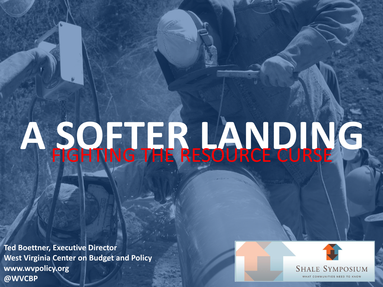# A SOFTER LANDING

**Ted Boettner, Executive Director West Virginia Center on Budget and Policy www.wvpolicy.org @WVCBP**

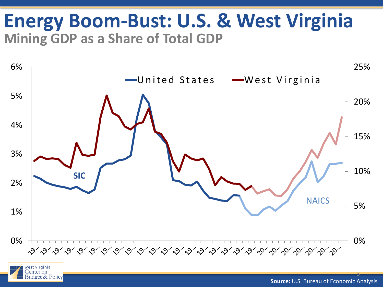#### **Energy Boom-Bust: U.S. & West Virginia Mining GDP as a Share of Total GDP**



enter on dget & Policy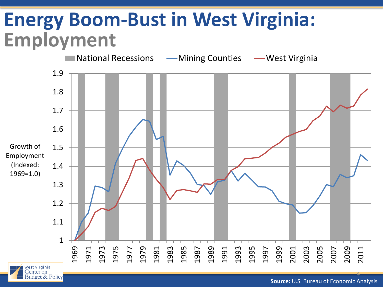#### **Energy Boom-Bust in West Virginia: Employment**

**Budget & Policy** 



**Source:** U.S. Bureau of Economic Analysis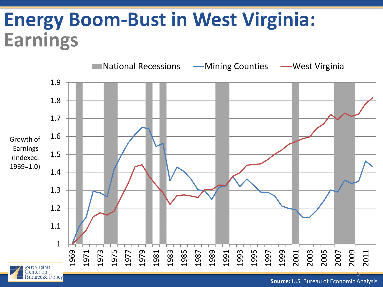#### **Energy Boom-Bust in West Virginia: Earnings**

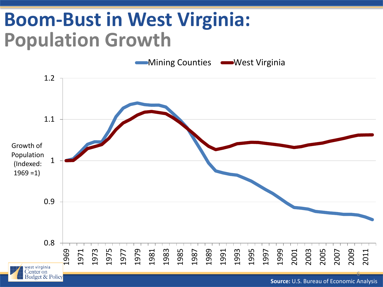#### **Boom-Bust in West Virginia: Population Growth**

1.2 1.1 Growth of Population 1 (Indexed:  $1969 = 1$ 0.9 0.8 1975 1997 1999 1979 1983 1985 1989 1993 1995 2007 1969 1971 1973 1977 1981 1987 1991 2009 2011 2001 2003 2005 west virginia Center on 6 udget & Policv

Mining Counties **West Virginia** 

**Source:** U.S. Bureau of Economic Analysis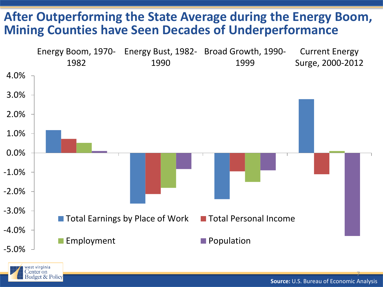#### **After Outperforming the State Average during the Energy Boom, Mining Counties have Seen Decades of Underperformance**





**Source:** U.S. Bureau of Economic Analysis

7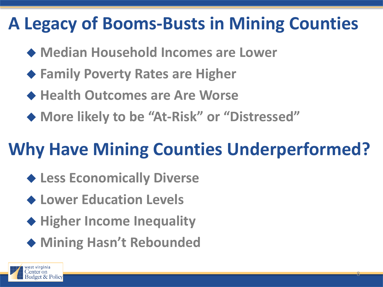#### **A Legacy of Booms-Busts in Mining Counties**

- **Median Household Incomes are Lower**
- **Family Poverty Rates are Higher**
- **Health Outcomes are Are Worse**
- **More likely to be "At-Risk" or "Distressed"**

#### **Why Have Mining Counties Underperformed?**

- **Less Economically Diverse**
- **Lower Education Levels**
- ◆ Higher Income Inequality
- ◆ Mining Hasn't Rebounded

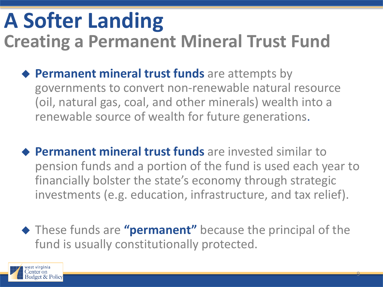#### **A Softer Landing Creating a Permanent Mineral Trust Fund**

- **Permanent mineral trust funds** are attempts by governments to convert non-renewable natural resource (oil, natural gas, coal, and other minerals) wealth into a renewable source of wealth for future generations.
- **Permanent mineral trust funds** are invested similar to pension funds and a portion of the fund is used each year to financially bolster the state's economy through strategic investments (e.g. education, infrastructure, and tax relief).
- These funds are **"permanent"** because the principal of the fund is usually constitutionally protected.

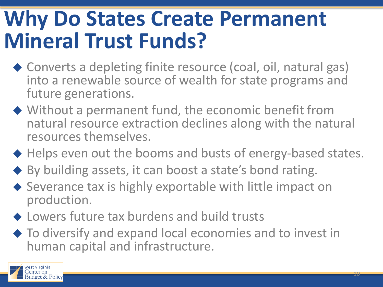### **Why Do States Create Permanent Mineral Trust Funds?**

- ◆ Converts a depleting finite resource (coal, oil, natural gas) into a renewable source of wealth for state programs and future generations.
- Without a permanent fund, the economic benefit from natural resource extraction declines along with the natural resources themselves.
- ◆ Helps even out the booms and busts of energy-based states.
- ◆ By building assets, it can boost a state's bond rating.
- ◆ Severance tax is highly exportable with little impact on production.
- ◆ Lowers future tax burdens and build trusts
- ◆ To diversify and expand local economies and to invest in human capital and infrastructure.

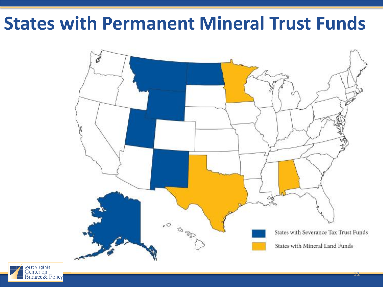#### **States with Permanent Mineral Trust Funds**



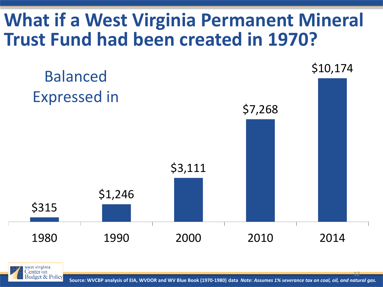#### **What if a West Virginia Permanent Mineral Trust Fund had been created in 1970?**





12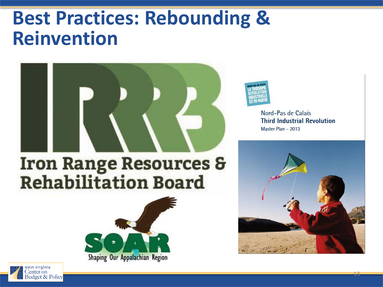#### **Best Practices: Rebounding & Reinvention**



## **Iron Range Resources &<br>Rehabilitation Board**





Nord-Pas de Calais **Third Industrial Revolution** Master Plan - 2013